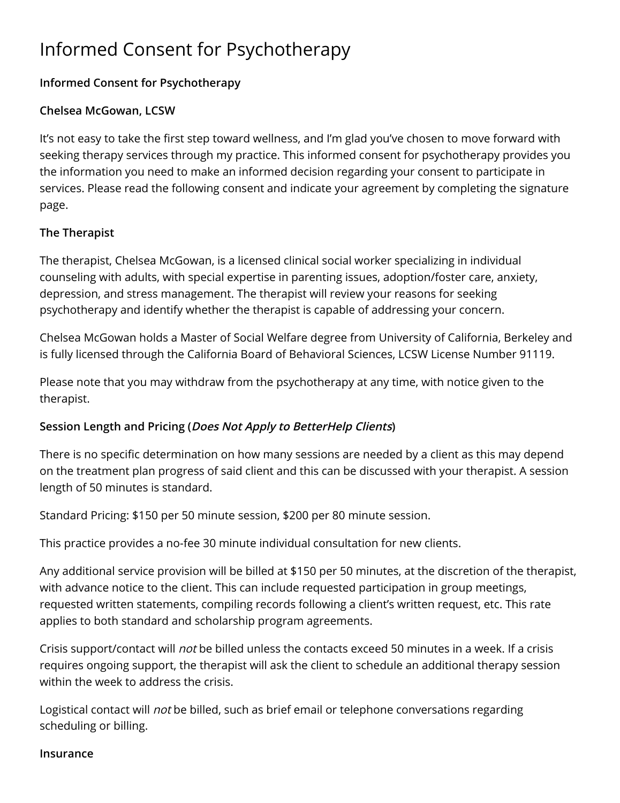# Informed Consent for Psychotherapy

## **Informed Consent for Psychotherapy**

## **Chelsea McGowan, LCSW**

It's not easy to take the first step toward wellness, and I'm glad you've chosen to move forward with seeking therapy services through my practice. This informed consent for psychotherapy provides you the information you need to make an informed decision regarding your consent to participate in services. Please read the following consent and indicate your agreement by completing the signature page.

## **The Therapist**

The therapist, Chelsea McGowan, is a licensed clinical social worker specializing in individual counseling with adults, with special expertise in parenting issues, adoption/foster care, anxiety, depression, and stress management. The therapist will review your reasons for seeking psychotherapy and identify whether the therapist is capable of addressing your concern.

Chelsea McGowan holds a Master of Social Welfare degree from University of California, Berkeley and is fully licensed through the California Board of Behavioral Sciences, LCSW License Number 91119.

Please note that you may withdraw from the psychotherapy at any time, with notice given to the therapist.

## **Session Length and Pricing (Does Not Apply to BetterHelp Clients)**

There is no specific determination on how many sessions are needed by a client as this may depend on the treatment plan progress of said client and this can be discussed with your therapist. A session length of 50 minutes is standard.

Standard Pricing: \$150 per 50 minute session, \$200 per 80 minute session.

This practice provides a no-fee 30 minute individual consultation for new clients.

Any additional service provision will be billed at \$150 per 50 minutes, at the discretion of the therapist, with advance notice to the client. This can include requested participation in group meetings, requested written statements, compiling records following a client's written request, etc. This rate applies to both standard and scholarship program agreements.

Crisis support/contact will not be billed unless the contacts exceed 50 minutes in a week. If a crisis requires ongoing support, the therapist will ask the client to schedule an additional therapy session within the week to address the crisis.

Logistical contact will not be billed, such as brief email or telephone conversations regarding scheduling or billing.

#### **Insurance**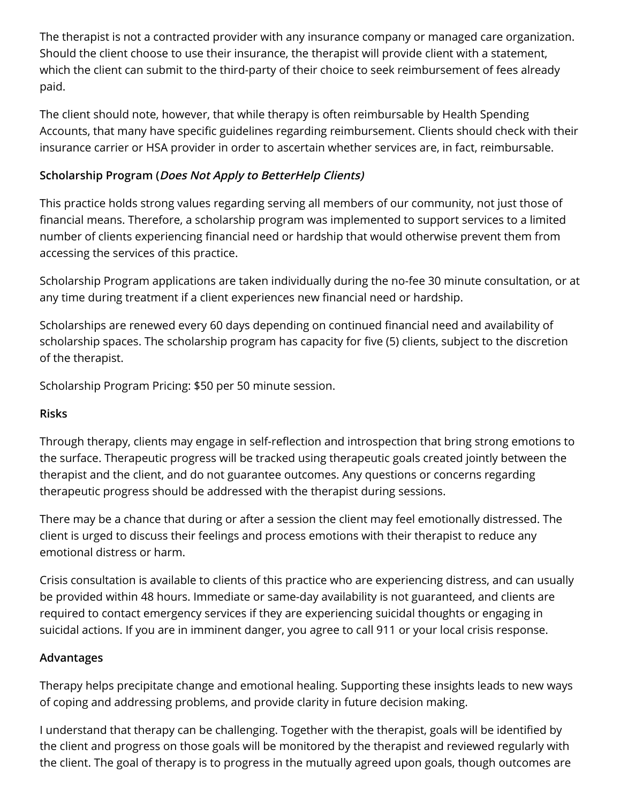The therapist is not a contracted provider with any insurance company or managed care organization. Should the client choose to use their insurance, the therapist will provide client with a statement, which the client can submit to the third-party of their choice to seek reimbursement of fees already paid.

The client should note, however, that while therapy is often reimbursable by Health Spending Accounts, that many have specific guidelines regarding reimbursement. Clients should check with their insurance carrier or HSA provider in order to ascertain whether services are, in fact, reimbursable.

## **Scholarship Program (Does Not Apply to BetterHelp Clients)**

This practice holds strong values regarding serving all members of our community, not just those of financial means. Therefore, a scholarship program was implemented to support services to a limited number of clients experiencing financial need or hardship that would otherwise prevent them from accessing the services of this practice.

Scholarship Program applications are taken individually during the no-fee 30 minute consultation, or at any time during treatment if a client experiences new financial need or hardship.

Scholarships are renewed every 60 days depending on continued financial need and availability of scholarship spaces. The scholarship program has capacity for five (5) clients, subject to the discretion of the therapist.

Scholarship Program Pricing: \$50 per 50 minute session.

#### **Risks**

Through therapy, clients may engage in self-reflection and introspection that bring strong emotions to the surface. Therapeutic progress will be tracked using therapeutic goals created jointly between the therapist and the client, and do not guarantee outcomes. Any questions or concerns regarding therapeutic progress should be addressed with the therapist during sessions.

There may be a chance that during or after a session the client may feel emotionally distressed. The client is urged to discuss their feelings and process emotions with their therapist to reduce any emotional distress or harm.

Crisis consultation is available to clients of this practice who are experiencing distress, and can usually be provided within 48 hours. Immediate or same-day availability is not guaranteed, and clients are required to contact emergency services if they are experiencing suicidal thoughts or engaging in suicidal actions. If you are in imminent danger, you agree to call 911 or your local crisis response.

#### **Advantages**

Therapy helps precipitate change and emotional healing. Supporting these insights leads to new ways of coping and addressing problems, and provide clarity in future decision making.

I understand that therapy can be challenging. Together with the therapist, goals will be identified by the client and progress on those goals will be monitored by the therapist and reviewed regularly with the client. The goal of therapy is to progress in the mutually agreed upon goals, though outcomes are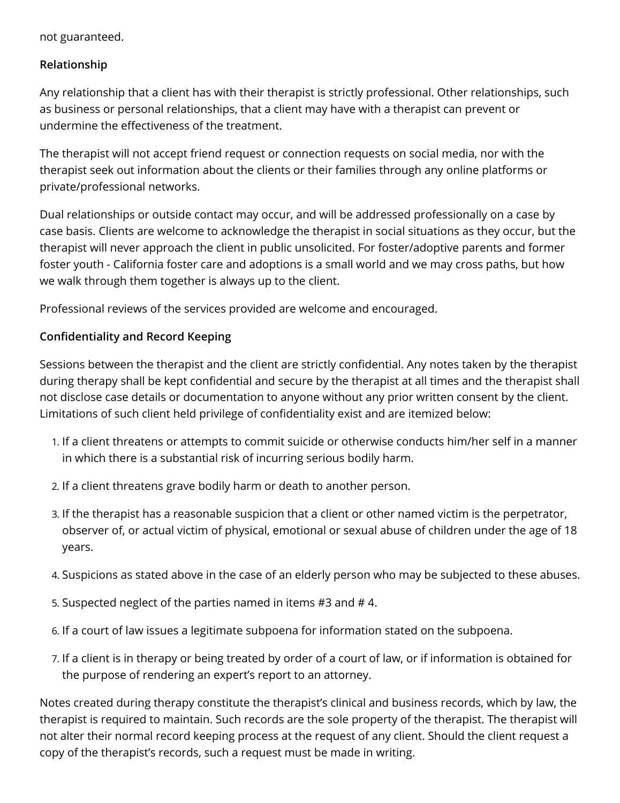not guaranteed.

### **Relationship**

Any relationship that a client has with their therapist is strictly professional. Other relationships, such as business or personal relationships, that a client may have with a therapist can prevent or undermine the effectiveness of the treatment.

The therapist will not accept friend request or connection requests on social media, nor with the therapist seek out information about the clients or their families through any online platforms or private/professional networks.

Dual relationships or outside contact may occur, and will be addressed professionally on a case by case basis. Clients are welcome to acknowledge the therapist in social situations as they occur, but the therapist will never approach the client in public unsolicited. For foster/adoptive parents and former foster youth - California foster care and adoptions is a small world and we may cross paths, but how we walk through them together is always up to the client.

Professional reviews of the services provided are welcome and encouraged.

### **Confidentiality and Record Keeping**

Sessions between the therapist and the client are strictly confidential. Any notes taken by the therapist during therapy shall be kept confidential and secure by the therapist at all times and the therapist shall not disclose case details or documentation to anyone without any prior written consent by the client. Limitations of such client held privilege of confidentiality exist and are itemized below:

- 1. If a client threatens or attempts to commit suicide or otherwise conducts him/her self in a manner in which there is a substantial risk of incurring serious bodily harm.
- 2. If a client threatens grave bodily harm or death to another person.
- 3. If the therapist has a reasonable suspicion that a client or other named victim is the perpetrator, observer of, or actual victim of physical, emotional or sexual abuse of children under the age of 18 years.
- 4. Suspicions as stated above in the case of an elderly person who may be subjected to these abuses.
- 5. Suspected neglect of the parties named in items #3 and # 4.
- 6. If a court of law issues a legitimate subpoena for information stated on the subpoena.
- 7. If a client is in therapy or being treated by order of a court of law, or if information is obtained for the purpose of rendering an expert's report to an attorney.

Notes created during therapy constitute the therapist's clinical and business records, which by law, the therapist is required to maintain. Such records are the sole property of the therapist. The therapist will not alter their normal record keeping process at the request of any client. Should the client request a copy of the therapist's records, such a request must be made in writing.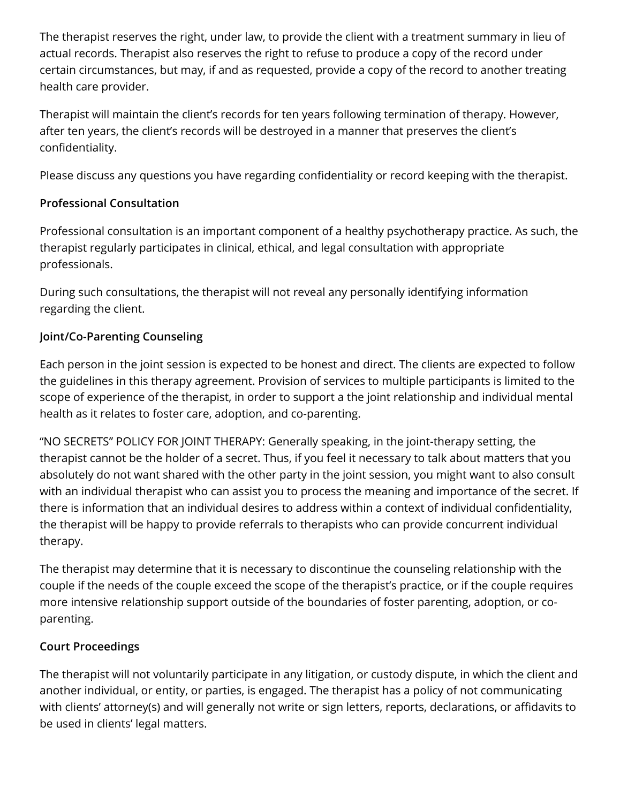The therapist reserves the right, under law, to provide the client with a treatment summary in lieu of actual records. Therapist also reserves the right to refuse to produce a copy of the record under certain circumstances, but may, if and as requested, provide a copy of the record to another treating health care provider.

Therapist will maintain the client's records for ten years following termination of therapy. However, after ten years, the client's records will be destroyed in a manner that preserves the client's confidentiality.

Please discuss any questions you have regarding confidentiality or record keeping with the therapist.

## **Professional Consultation**

Professional consultation is an important component of a healthy psychotherapy practice. As such, the therapist regularly participates in clinical, ethical, and legal consultation with appropriate professionals.

During such consultations, the therapist will not reveal any personally identifying information regarding the client.

## **Joint/Co-Parenting Counseling**

Each person in the joint session is expected to be honest and direct. The clients are expected to follow the guidelines in this therapy agreement. Provision of services to multiple participants is limited to the scope of experience of the therapist, in order to support a the joint relationship and individual mental health as it relates to foster care, adoption, and co-parenting.

"NO SECRETS" POLICY FOR JOINT THERAPY: Generally speaking, in the joint-therapy setting, the therapist cannot be the holder of a secret. Thus, if you feel it necessary to talk about matters that you absolutely do not want shared with the other party in the joint session, you might want to also consult with an individual therapist who can assist you to process the meaning and importance of the secret. If there is information that an individual desires to address within a context of individual confidentiality, the therapist will be happy to provide referrals to therapists who can provide concurrent individual therapy.

The therapist may determine that it is necessary to discontinue the counseling relationship with the couple if the needs of the couple exceed the scope of the therapist's practice, or if the couple requires more intensive relationship support outside of the boundaries of foster parenting, adoption, or coparenting.

## **Court Proceedings**

The therapist will not voluntarily participate in any litigation, or custody dispute, in which the client and another individual, or entity, or parties, is engaged. The therapist has a policy of not communicating with clients' attorney(s) and will generally not write or sign letters, reports, declarations, or affidavits to be used in clients' legal matters.